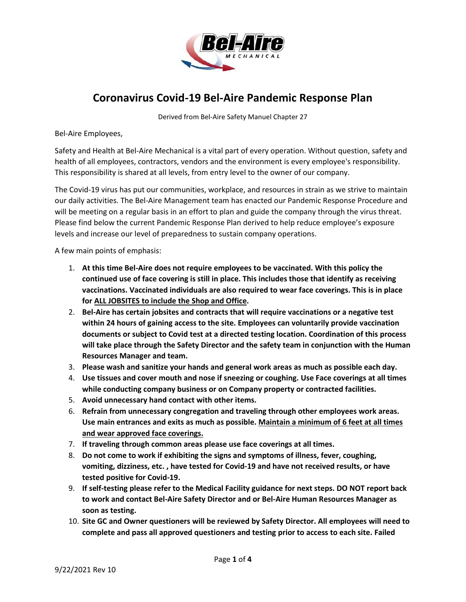

## **Coronavirus Covid-19 Bel-Aire Pandemic Response Plan**

Derived from Bel-Aire Safety Manuel Chapter 27

Bel-Aire Employees,

Safety and Health at Bel-Aire Mechanical is a vital part of every operation. Without question, safety and health of all employees, contractors, vendors and the environment is every employee's responsibility. This responsibility is shared at all levels, from entry level to the owner of our company.

The Covid-19 virus has put our communities, workplace, and resources in strain as we strive to maintain our daily activities. The Bel-Aire Management team has enacted our Pandemic Response Procedure and will be meeting on a regular basis in an effort to plan and guide the company through the virus threat. Please find below the current Pandemic Response Plan derived to help reduce employee's exposure levels and increase our level of preparedness to sustain company operations.

A few main points of emphasis:

- 1. **At this time Bel-Aire does not require employees to be vaccinated. With this policy the continued use of face covering is still in place. This includes those that identify as receiving vaccinations. Vaccinated individuals are also required to wear face coverings. This is in place for ALL JOBSITES to include the Shop and Office.**
- 2. **Bel-Aire has certain jobsites and contracts that will require vaccinations or a negative test within 24 hours of gaining access to the site. Employees can voluntarily provide vaccination documents or subject to Covid test at a directed testing location. Coordination of this process will take place through the Safety Director and the safety team in conjunction with the Human Resources Manager and team.**
- 3. **Please wash and sanitize your hands and general work areas as much as possible each day.**
- 4. **Use tissues and cover mouth and nose if sneezing or coughing. Use Face coverings at all times while conducting company business or on Company property or contracted facilities.**
- 5. **Avoid unnecessary hand contact with other items.**
- 6. **Refrain from unnecessary congregation and traveling through other employees work areas. Use main entrances and exits as much as possible. Maintain a minimum of 6 feet at all times and wear approved face coverings.**
- 7. **If traveling through common areas please use face coverings at all times.**
- 8. **Do not come to work if exhibiting the signs and symptoms of illness, fever, coughing, vomiting, dizziness, etc. , have tested for Covid-19 and have not received results, or have tested positive for Covid-19.**
- 9. **If self-testing please refer to the Medical Facility guidance for next steps. DO NOT report back to work and contact Bel-Aire Safety Director and or Bel-Aire Human Resources Manager as soon as testing.**
- 10. **Site GC and Owner questioners will be reviewed by Safety Director. All employees will need to complete and pass all approved questioners and testing prior to access to each site. Failed**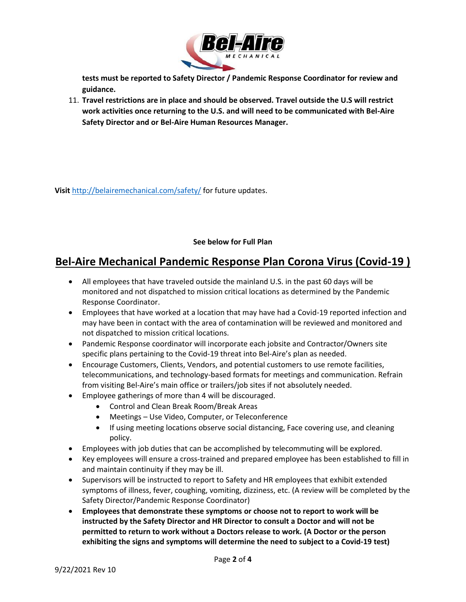

**tests must be reported to Safety Director / Pandemic Response Coordinator for review and guidance.**

11. **Travel restrictions are in place and should be observed. Travel outside the U.S will restrict work activities once returning to the U.S. and will need to be communicated with Bel-Aire Safety Director and or Bel-Aire Human Resources Manager.**

**Visit** <http://belairemechanical.com/safety/> for future updates.

## **See below for Full Plan**

## **Bel-Aire Mechanical Pandemic Response Plan Corona Virus (Covid-19 )**

- All employees that have traveled outside the mainland U.S. in the past 60 days will be monitored and not dispatched to mission critical locations as determined by the Pandemic Response Coordinator.
- Employees that have worked at a location that may have had a Covid-19 reported infection and may have been in contact with the area of contamination will be reviewed and monitored and not dispatched to mission critical locations.
- Pandemic Response coordinator will incorporate each jobsite and Contractor/Owners site specific plans pertaining to the Covid-19 threat into Bel-Aire's plan as needed.
- Encourage Customers, Clients, Vendors, and potential customers to use remote facilities, telecommunications, and technology-based formats for meetings and communication. Refrain from visiting Bel-Aire's main office or trailers/job sites if not absolutely needed.
- Employee gatherings of more than 4 will be discouraged.
	- Control and Clean Break Room/Break Areas
	- Meetings Use Video, Computer, or Teleconference
	- If using meeting locations observe social distancing, Face covering use, and cleaning policy.
- Employees with job duties that can be accomplished by telecommuting will be explored.
- Key employees will ensure a cross-trained and prepared employee has been established to fill in and maintain continuity if they may be ill.
- Supervisors will be instructed to report to Safety and HR employees that exhibit extended symptoms of illness, fever, coughing, vomiting, dizziness, etc. (A review will be completed by the Safety Director/Pandemic Response Coordinator)
- **Employees that demonstrate these symptoms or choose not to report to work will be instructed by the Safety Director and HR Director to consult a Doctor and will not be permitted to return to work without a Doctors release to work. (A Doctor or the person exhibiting the signs and symptoms will determine the need to subject to a Covid-19 test)**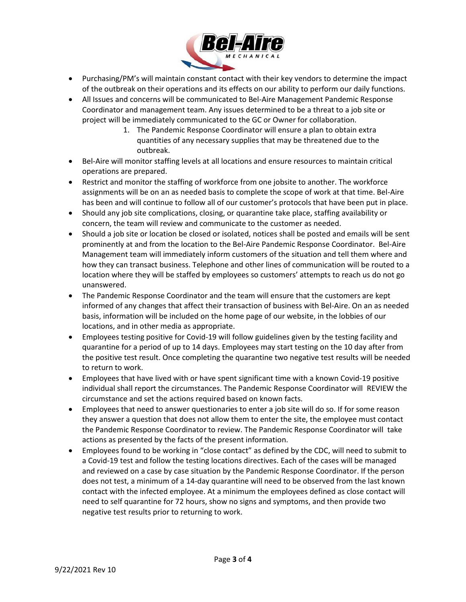

- Purchasing/PM's will maintain constant contact with their key vendors to determine the impact of the outbreak on their operations and its effects on our ability to perform our daily functions.
- All Issues and concerns will be communicated to Bel-Aire Management Pandemic Response Coordinator and management team. Any issues determined to be a threat to a job site or project will be immediately communicated to the GC or Owner for collaboration.
	- 1. The Pandemic Response Coordinator will ensure a plan to obtain extra quantities of any necessary supplies that may be threatened due to the outbreak.
- Bel-Aire will monitor staffing levels at all locations and ensure resources to maintain critical operations are prepared.
- Restrict and monitor the staffing of workforce from one jobsite to another. The workforce assignments will be on an as needed basis to complete the scope of work at that time. Bel-Aire has been and will continue to follow all of our customer's protocols that have been put in place.
- Should any job site complications, closing, or quarantine take place, staffing availability or concern, the team will review and communicate to the customer as needed.
- Should a job site or location be closed or isolated, notices shall be posted and emails will be sent prominently at and from the location to the Bel-Aire Pandemic Response Coordinator. Bel-Aire Management team will immediately inform customers of the situation and tell them where and how they can transact business. Telephone and other lines of communication will be routed to a location where they will be staffed by employees so customers' attempts to reach us do not go unanswered.
- The Pandemic Response Coordinator and the team will ensure that the customers are kept informed of any changes that affect their transaction of business with Bel-Aire. On an as needed basis, information will be included on the home page of our website, in the lobbies of our locations, and in other media as appropriate.
- Employees testing positive for Covid-19 will follow guidelines given by the testing facility and quarantine for a period of up to 14 days. Employees may start testing on the 10 day after from the positive test result. Once completing the quarantine two negative test results will be needed to return to work.
- Employees that have lived with or have spent significant time with a known Covid-19 positive individual shall report the circumstances. The Pandemic Response Coordinator will REVIEW the circumstance and set the actions required based on known facts.
- Employees that need to answer questionaries to enter a job site will do so. If for some reason they answer a question that does not allow them to enter the site, the employee must contact the Pandemic Response Coordinator to review. The Pandemic Response Coordinator will take actions as presented by the facts of the present information.
- Employees found to be working in "close contact" as defined by the CDC, will need to submit to a Covid-19 test and follow the testing locations directives. Each of the cases will be managed and reviewed on a case by case situation by the Pandemic Response Coordinator. If the person does not test, a minimum of a 14-day quarantine will need to be observed from the last known contact with the infected employee. At a minimum the employees defined as close contact will need to self quarantine for 72 hours, show no signs and symptoms, and then provide two negative test results prior to returning to work.